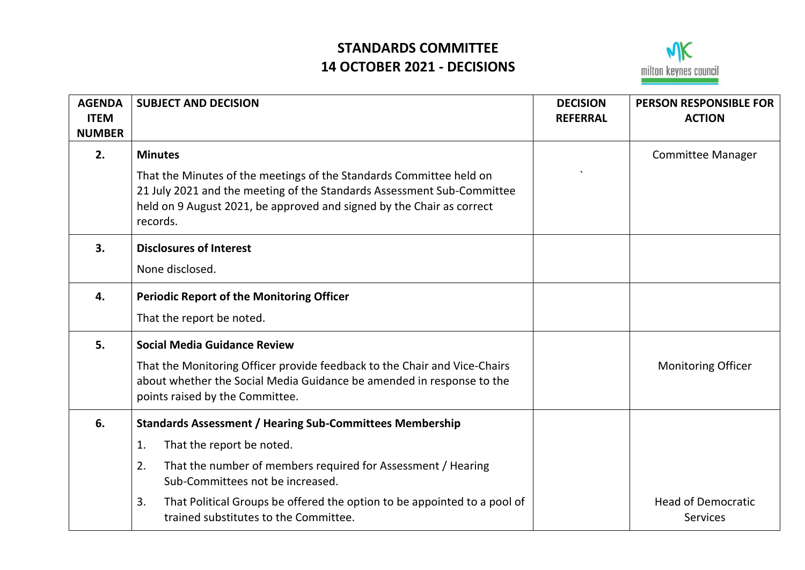## **STANDARDS COMMITTEE 14 OCTOBER 2021 - DECISIONS**



| <b>AGENDA</b><br><b>ITEM</b><br><b>NUMBER</b> | <b>SUBJECT AND DECISION</b>                                                                                                                                                                                                        | <b>DECISION</b><br><b>REFERRAL</b> | <b>PERSON RESPONSIBLE FOR</b><br><b>ACTION</b> |
|-----------------------------------------------|------------------------------------------------------------------------------------------------------------------------------------------------------------------------------------------------------------------------------------|------------------------------------|------------------------------------------------|
| 2.                                            | <b>Minutes</b>                                                                                                                                                                                                                     |                                    | <b>Committee Manager</b>                       |
|                                               | That the Minutes of the meetings of the Standards Committee held on<br>21 July 2021 and the meeting of the Standards Assessment Sub-Committee<br>held on 9 August 2021, be approved and signed by the Chair as correct<br>records. |                                    |                                                |
| 3.                                            | <b>Disclosures of Interest</b>                                                                                                                                                                                                     |                                    |                                                |
|                                               | None disclosed.                                                                                                                                                                                                                    |                                    |                                                |
| 4.                                            | <b>Periodic Report of the Monitoring Officer</b>                                                                                                                                                                                   |                                    |                                                |
|                                               | That the report be noted.                                                                                                                                                                                                          |                                    |                                                |
| 5.                                            | <b>Social Media Guidance Review</b>                                                                                                                                                                                                |                                    |                                                |
|                                               | That the Monitoring Officer provide feedback to the Chair and Vice-Chairs<br>about whether the Social Media Guidance be amended in response to the<br>points raised by the Committee.                                              |                                    | <b>Monitoring Officer</b>                      |
| 6.                                            | <b>Standards Assessment / Hearing Sub-Committees Membership</b>                                                                                                                                                                    |                                    |                                                |
|                                               | That the report be noted.<br>1.                                                                                                                                                                                                    |                                    |                                                |
|                                               | That the number of members required for Assessment / Hearing<br>2.<br>Sub-Committees not be increased.                                                                                                                             |                                    |                                                |
|                                               | That Political Groups be offered the option to be appointed to a pool of<br>3.<br>trained substitutes to the Committee.                                                                                                            |                                    | <b>Head of Democratic</b><br><b>Services</b>   |